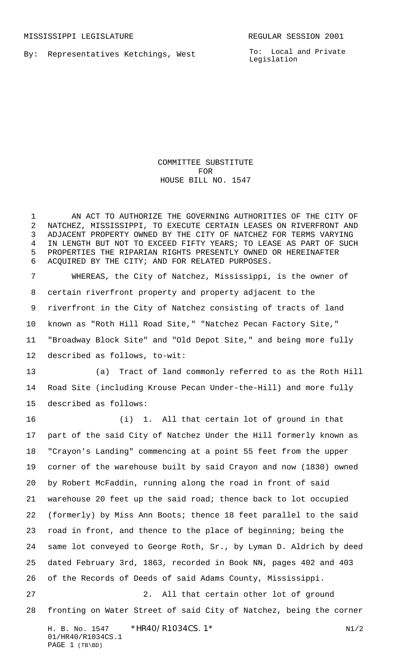By: Representatives Ketchings, West

To: Local and Private Legislation

## COMMITTEE SUBSTITUTE FOR HOUSE BILL NO. 1547

 AN ACT TO AUTHORIZE THE GOVERNING AUTHORITIES OF THE CITY OF NATCHEZ, MISSISSIPPI, TO EXECUTE CERTAIN LEASES ON RIVERFRONT AND ADJACENT PROPERTY OWNED BY THE CITY OF NATCHEZ FOR TERMS VARYING IN LENGTH BUT NOT TO EXCEED FIFTY YEARS; TO LEASE AS PART OF SUCH PROPERTIES THE RIPARIAN RIGHTS PRESENTLY OWNED OR HEREINAFTER ACQUIRED BY THE CITY; AND FOR RELATED PURPOSES.

 WHEREAS, the City of Natchez, Mississippi, is the owner of certain riverfront property and property adjacent to the riverfront in the City of Natchez consisting of tracts of land known as "Roth Hill Road Site," "Natchez Pecan Factory Site," "Broadway Block Site" and "Old Depot Site," and being more fully described as follows, to-wit:

 (a) Tract of land commonly referred to as the Roth Hill Road Site (including Krouse Pecan Under-the-Hill) and more fully described as follows:

H. B. No. 1547 \* HR40/R1034CS. 1\* N1/2 01/HR40/R1034CS.1 (i) 1. All that certain lot of ground in that part of the said City of Natchez Under the Hill formerly known as "Crayon's Landing" commencing at a point 55 feet from the upper corner of the warehouse built by said Crayon and now (1830) owned by Robert McFaddin, running along the road in front of said warehouse 20 feet up the said road; thence back to lot occupied (formerly) by Miss Ann Boots; thence 18 feet parallel to the said road in front, and thence to the place of beginning; being the same lot conveyed to George Roth, Sr., by Lyman D. Aldrich by deed dated February 3rd, 1863, recorded in Book NN, pages 402 and 403 of the Records of Deeds of said Adams County, Mississippi. 2. All that certain other lot of ground fronting on Water Street of said City of Natchez, being the corner

```
PAGE 1 (TB\BD)
```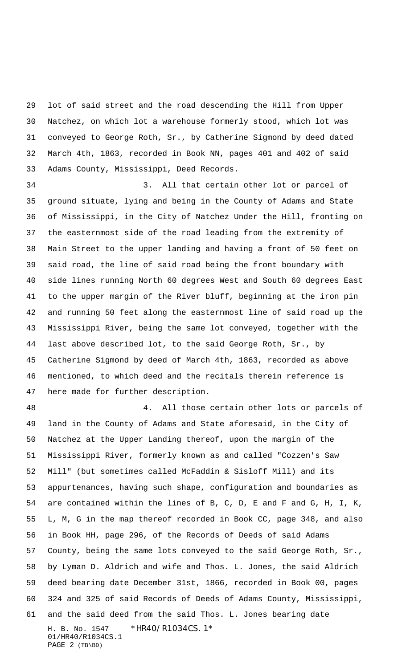lot of said street and the road descending the Hill from Upper Natchez, on which lot a warehouse formerly stood, which lot was conveyed to George Roth, Sr., by Catherine Sigmond by deed dated March 4th, 1863, recorded in Book NN, pages 401 and 402 of said Adams County, Mississippi, Deed Records.

 3. All that certain other lot or parcel of ground situate, lying and being in the County of Adams and State of Mississippi, in the City of Natchez Under the Hill, fronting on the easternmost side of the road leading from the extremity of Main Street to the upper landing and having a front of 50 feet on said road, the line of said road being the front boundary with side lines running North 60 degrees West and South 60 degrees East to the upper margin of the River bluff, beginning at the iron pin and running 50 feet along the easternmost line of said road up the Mississippi River, being the same lot conveyed, together with the last above described lot, to the said George Roth, Sr., by Catherine Sigmond by deed of March 4th, 1863, recorded as above mentioned, to which deed and the recitals therein reference is here made for further description.

H. B. No. 1547 \* HR40/R1034CS. 1\* 01/HR40/R1034CS.1 PAGE 2 (TB\BD) 4. All those certain other lots or parcels of land in the County of Adams and State aforesaid, in the City of Natchez at the Upper Landing thereof, upon the margin of the Mississippi River, formerly known as and called "Cozzen's Saw Mill" (but sometimes called McFaddin & Sisloff Mill) and its appurtenances, having such shape, configuration and boundaries as are contained within the lines of B, C, D, E and F and G, H, I, K, L, M, G in the map thereof recorded in Book CC, page 348, and also in Book HH, page 296, of the Records of Deeds of said Adams County, being the same lots conveyed to the said George Roth, Sr., by Lyman D. Aldrich and wife and Thos. L. Jones, the said Aldrich deed bearing date December 31st, 1866, recorded in Book 00, pages 324 and 325 of said Records of Deeds of Adams County, Mississippi, and the said deed from the said Thos. L. Jones bearing date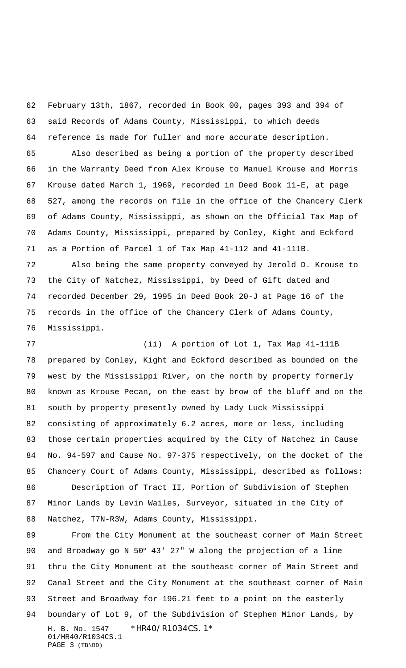February 13th, 1867, recorded in Book 00, pages 393 and 394 of said Records of Adams County, Mississippi, to which deeds reference is made for fuller and more accurate description.

 Also described as being a portion of the property described in the Warranty Deed from Alex Krouse to Manuel Krouse and Morris Krouse dated March 1, 1969, recorded in Deed Book 11-E, at page 527, among the records on file in the office of the Chancery Clerk of Adams County, Mississippi, as shown on the Official Tax Map of Adams County, Mississippi, prepared by Conley, Kight and Eckford as a Portion of Parcel 1 of Tax Map 41-112 and 41-111B.

 Also being the same property conveyed by Jerold D. Krouse to the City of Natchez, Mississippi, by Deed of Gift dated and recorded December 29, 1995 in Deed Book 20-J at Page 16 of the records in the office of the Chancery Clerk of Adams County, Mississippi.

 (ii) A portion of Lot 1, Tax Map 41-111B prepared by Conley, Kight and Eckford described as bounded on the west by the Mississippi River, on the north by property formerly known as Krouse Pecan, on the east by brow of the bluff and on the south by property presently owned by Lady Luck Mississippi consisting of approximately 6.2 acres, more or less, including those certain properties acquired by the City of Natchez in Cause No. 94-597 and Cause No. 97-375 respectively, on the docket of the Chancery Court of Adams County, Mississippi, described as follows: Description of Tract II, Portion of Subdivision of Stephen Minor Lands by Levin Wailes, Surveyor, situated in the City of Natchez, T7N-R3W, Adams County, Mississippi.

H. B. No. 1547 \* HR40/R1034CS. 1\* 01/HR40/R1034CS.1 PAGE 3 (TB\BD) From the City Monument at the southeast corner of Main Street and Broadway go N 50° 43' 27" W along the projection of a line thru the City Monument at the southeast corner of Main Street and Canal Street and the City Monument at the southeast corner of Main Street and Broadway for 196.21 feet to a point on the easterly boundary of Lot 9, of the Subdivision of Stephen Minor Lands, by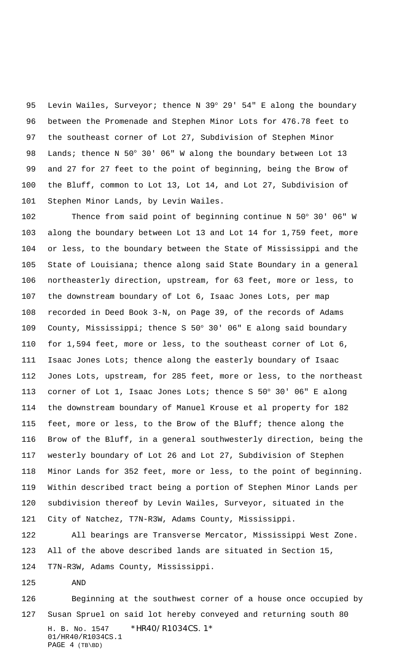95 Levin Wailes, Surveyor; thence N 39° 29' 54" E along the boundary between the Promenade and Stephen Minor Lots for 476.78 feet to the southeast corner of Lot 27, Subdivision of Stephen Minor Lands; thence N 50° 30' 06" W along the boundary between Lot 13 and 27 for 27 feet to the point of beginning, being the Brow of the Bluff, common to Lot 13, Lot 14, and Lot 27, Subdivision of Stephen Minor Lands, by Levin Wailes.

 Thence from said point of beginning continue N 50° 30' 06" W along the boundary between Lot 13 and Lot 14 for 1,759 feet, more or less, to the boundary between the State of Mississippi and the State of Louisiana; thence along said State Boundary in a general northeasterly direction, upstream, for 63 feet, more or less, to the downstream boundary of Lot 6, Isaac Jones Lots, per map recorded in Deed Book 3-N, on Page 39, of the records of Adams County, Mississippi; thence S 50° 30' 06" E along said boundary for 1,594 feet, more or less, to the southeast corner of Lot 6, Isaac Jones Lots; thence along the easterly boundary of Isaac Jones Lots, upstream, for 285 feet, more or less, to the northeast corner of Lot 1, Isaac Jones Lots; thence S 50° 30' 06" E along the downstream boundary of Manuel Krouse et al property for 182 feet, more or less, to the Brow of the Bluff; thence along the Brow of the Bluff, in a general southwesterly direction, being the westerly boundary of Lot 26 and Lot 27, Subdivision of Stephen Minor Lands for 352 feet, more or less, to the point of beginning. Within described tract being a portion of Stephen Minor Lands per subdivision thereof by Levin Wailes, Surveyor, situated in the City of Natchez, T7N-R3W, Adams County, Mississippi.

 All bearings are Transverse Mercator, Mississippi West Zone. All of the above described lands are situated in Section 15, T7N-R3W, Adams County, Mississippi.

AND

H. B. No. 1547 \* HR40/R1034CS. 1\* 01/HR40/R1034CS.1 PAGE 4 (TB\BD) Beginning at the southwest corner of a house once occupied by Susan Spruel on said lot hereby conveyed and returning south 80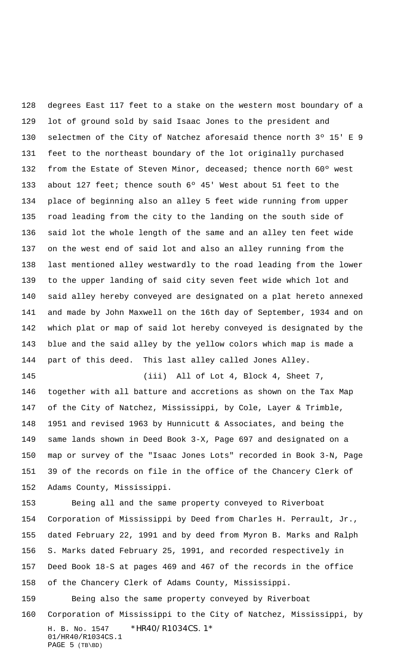degrees East 117 feet to a stake on the western most boundary of a lot of ground sold by said Isaac Jones to the president and selectmen of the City of Natchez aforesaid thence north 3º 15' E 9 feet to the northeast boundary of the lot originally purchased 132 from the Estate of Steven Minor, deceased; thence north 60° west about 127 feet; thence south 6º 45' West about 51 feet to the place of beginning also an alley 5 feet wide running from upper road leading from the city to the landing on the south side of said lot the whole length of the same and an alley ten feet wide on the west end of said lot and also an alley running from the last mentioned alley westwardly to the road leading from the lower to the upper landing of said city seven feet wide which lot and said alley hereby conveyed are designated on a plat hereto annexed and made by John Maxwell on the 16th day of September, 1934 and on which plat or map of said lot hereby conveyed is designated by the blue and the said alley by the yellow colors which map is made a part of this deed. This last alley called Jones Alley. (iii) All of Lot 4, Block 4, Sheet 7,

 together with all batture and accretions as shown on the Tax Map of the City of Natchez, Mississippi, by Cole, Layer & Trimble, 1951 and revised 1963 by Hunnicutt & Associates, and being the same lands shown in Deed Book 3-X, Page 697 and designated on a map or survey of the "Isaac Jones Lots" recorded in Book 3-N, Page 39 of the records on file in the office of the Chancery Clerk of Adams County, Mississippi.

 Being all and the same property conveyed to Riverboat Corporation of Mississippi by Deed from Charles H. Perrault, Jr., dated February 22, 1991 and by deed from Myron B. Marks and Ralph S. Marks dated February 25, 1991, and recorded respectively in Deed Book 18-S at pages 469 and 467 of the records in the office of the Chancery Clerk of Adams County, Mississippi.

Being also the same property conveyed by Riverboat

H. B. No. 1547 \* HR40/R1034CS. 1\* 01/HR40/R1034CS.1 PAGE (TB\BD) Corporation of Mississippi to the City of Natchez, Mississippi, by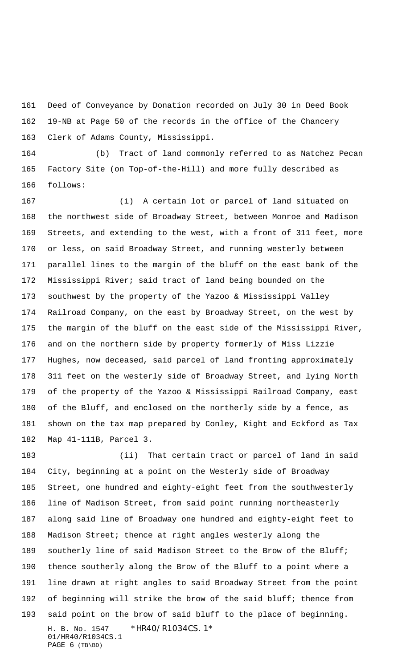Deed of Conveyance by Donation recorded on July 30 in Deed Book 19-NB at Page 50 of the records in the office of the Chancery Clerk of Adams County, Mississippi.

 (b) Tract of land commonly referred to as Natchez Pecan Factory Site (on Top-of-the-Hill) and more fully described as follows:

 (i) A certain lot or parcel of land situated on the northwest side of Broadway Street, between Monroe and Madison Streets, and extending to the west, with a front of 311 feet, more or less, on said Broadway Street, and running westerly between parallel lines to the margin of the bluff on the east bank of the Mississippi River; said tract of land being bounded on the southwest by the property of the Yazoo & Mississippi Valley Railroad Company, on the east by Broadway Street, on the west by the margin of the bluff on the east side of the Mississippi River, and on the northern side by property formerly of Miss Lizzie Hughes, now deceased, said parcel of land fronting approximately 311 feet on the westerly side of Broadway Street, and lying North of the property of the Yazoo & Mississippi Railroad Company, east of the Bluff, and enclosed on the northerly side by a fence, as shown on the tax map prepared by Conley, Kight and Eckford as Tax Map 41-111B, Parcel 3.

H. B. No. 1547 \* HR40/R1034CS. 1\* 01/HR40/R1034CS.1 PAGE 6 (TB\BD) (ii) That certain tract or parcel of land in said City, beginning at a point on the Westerly side of Broadway Street, one hundred and eighty-eight feet from the southwesterly line of Madison Street, from said point running northeasterly along said line of Broadway one hundred and eighty-eight feet to Madison Street; thence at right angles westerly along the 189 southerly line of said Madison Street to the Brow of the Bluff; thence southerly along the Brow of the Bluff to a point where a line drawn at right angles to said Broadway Street from the point of beginning will strike the brow of the said bluff; thence from said point on the brow of said bluff to the place of beginning.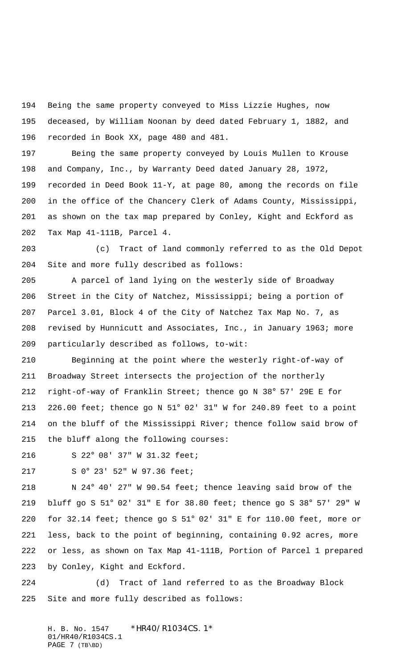Being the same property conveyed to Miss Lizzie Hughes, now deceased, by William Noonan by deed dated February 1, 1882, and recorded in Book XX, page 480 and 481.

 Being the same property conveyed by Louis Mullen to Krouse and Company, Inc., by Warranty Deed dated January 28, 1972, recorded in Deed Book 11-Y, at page 80, among the records on file in the office of the Chancery Clerk of Adams County, Mississippi, as shown on the tax map prepared by Conley, Kight and Eckford as Tax Map 41-111B, Parcel 4.

 (c) Tract of land commonly referred to as the Old Depot Site and more fully described as follows:

 A parcel of land lying on the westerly side of Broadway Street in the City of Natchez, Mississippi; being a portion of Parcel 3.01, Block 4 of the City of Natchez Tax Map No. 7, as revised by Hunnicutt and Associates, Inc., in January 1963; more particularly described as follows, to-wit:

 Beginning at the point where the westerly right-of-way of Broadway Street intersects the projection of the northerly right-of-way of Franklin Street; thence go N 38° 57' 29E E for 226.00 feet; thence go N 51° 02' 31" W for 240.89 feet to a point on the bluff of the Mississippi River; thence follow said brow of the bluff along the following courses:

S 22° 08' 37" W 31.32 feet;

S 0° 23' 52" W 97.36 feet;

 N 24° 40' 27" W 90.54 feet; thence leaving said brow of the bluff go S 51° 02' 31" E for 38.80 feet; thence go S 38° 57' 29" W for 32.14 feet; thence go S 51° 02' 31" E for 110.00 feet, more or less, back to the point of beginning, containing 0.92 acres, more or less, as shown on Tax Map 41-111B, Portion of Parcel 1 prepared by Conley, Kight and Eckford.

 (d) Tract of land referred to as the Broadway Block Site and more fully described as follows:

H. B. No. 1547 \* HR40/R1034CS. 1\* 01/HR40/R1034CS.1 PAGE 7 (TB\BD)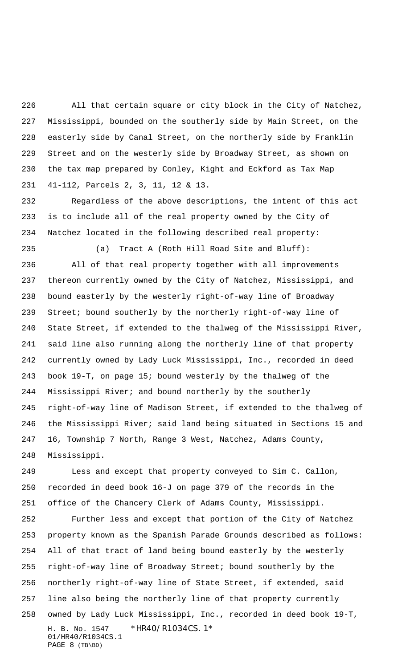All that certain square or city block in the City of Natchez, Mississippi, bounded on the southerly side by Main Street, on the easterly side by Canal Street, on the northerly side by Franklin Street and on the westerly side by Broadway Street, as shown on the tax map prepared by Conley, Kight and Eckford as Tax Map 41-112, Parcels 2, 3, 11, 12 & 13.

 Regardless of the above descriptions, the intent of this act is to include all of the real property owned by the City of Natchez located in the following described real property:

 (a) Tract A (Roth Hill Road Site and Bluff): All of that real property together with all improvements thereon currently owned by the City of Natchez, Mississippi, and bound easterly by the westerly right-of-way line of Broadway Street; bound southerly by the northerly right-of-way line of State Street, if extended to the thalweg of the Mississippi River, said line also running along the northerly line of that property currently owned by Lady Luck Mississippi, Inc., recorded in deed book 19-T, on page 15; bound westerly by the thalweg of the Mississippi River; and bound northerly by the southerly right-of-way line of Madison Street, if extended to the thalweg of the Mississippi River; said land being situated in Sections 15 and 16, Township 7 North, Range 3 West, Natchez, Adams County, Mississippi.

 Less and except that property conveyed to Sim C. Callon, recorded in deed book 16-J on page 379 of the records in the office of the Chancery Clerk of Adams County, Mississippi.

H. B. No. 1547 \* HR40/R1034CS. 1\* 01/HR40/R1034CS.1 PAGE 8 (TB\BD) Further less and except that portion of the City of Natchez property known as the Spanish Parade Grounds described as follows: All of that tract of land being bound easterly by the westerly right-of-way line of Broadway Street; bound southerly by the northerly right-of-way line of State Street, if extended, said line also being the northerly line of that property currently owned by Lady Luck Mississippi, Inc., recorded in deed book 19-T,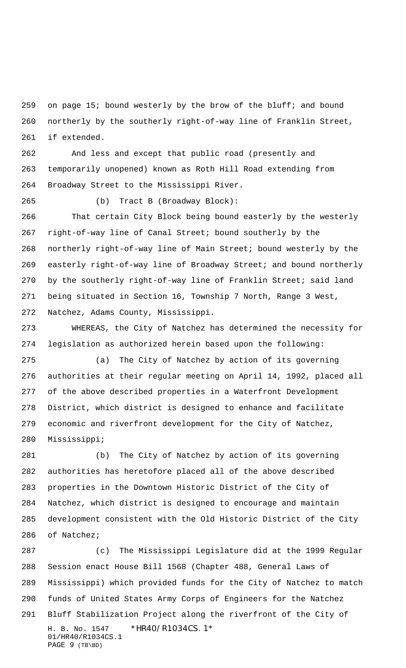on page 15; bound westerly by the brow of the bluff; and bound northerly by the southerly right-of-way line of Franklin Street, if extended.

 And less and except that public road (presently and temporarily unopened) known as Roth Hill Road extending from Broadway Street to the Mississippi River.

(b) Tract B (Broadway Block):

 That certain City Block being bound easterly by the westerly right-of-way line of Canal Street; bound southerly by the northerly right-of-way line of Main Street; bound westerly by the easterly right-of-way line of Broadway Street; and bound northerly by the southerly right-of-way line of Franklin Street; said land being situated in Section 16, Township 7 North, Range 3 West, Natchez, Adams County, Mississippi.

 WHEREAS, the City of Natchez has determined the necessity for legislation as authorized herein based upon the following:

 (a) The City of Natchez by action of its governing authorities at their regular meeting on April 14, 1992, placed all of the above described properties in a Waterfront Development District, which district is designed to enhance and facilitate economic and riverfront development for the City of Natchez, Mississippi;

 (b) The City of Natchez by action of its governing authorities has heretofore placed all of the above described properties in the Downtown Historic District of the City of Natchez, which district is designed to encourage and maintain development consistent with the Old Historic District of the City of Natchez;

H. B. No. 1547 \* HR40/R1034CS. 1\* 01/HR40/R1034CS.1 PAGE 9 (TB\BD) (c) The Mississippi Legislature did at the 1999 Regular Session enact House Bill 1568 (Chapter 488, General Laws of Mississippi) which provided funds for the City of Natchez to match funds of United States Army Corps of Engineers for the Natchez Bluff Stabilization Project along the riverfront of the City of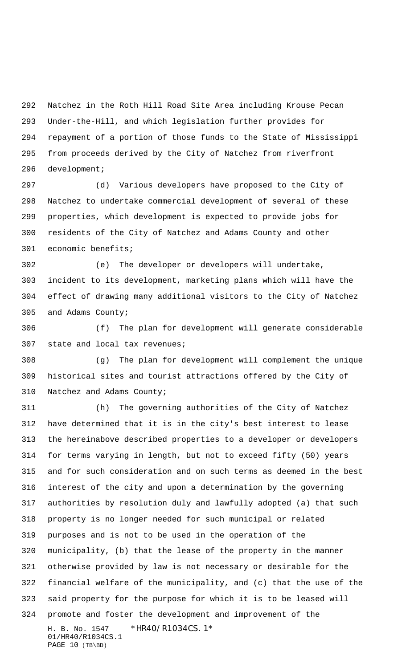Natchez in the Roth Hill Road Site Area including Krouse Pecan Under-the-Hill, and which legislation further provides for repayment of a portion of those funds to the State of Mississippi from proceeds derived by the City of Natchez from riverfront development;

 (d) Various developers have proposed to the City of Natchez to undertake commercial development of several of these properties, which development is expected to provide jobs for residents of the City of Natchez and Adams County and other economic benefits;

 (e) The developer or developers will undertake, incident to its development, marketing plans which will have the effect of drawing many additional visitors to the City of Natchez and Adams County;

 (f) The plan for development will generate considerable state and local tax revenues;

 (g) The plan for development will complement the unique historical sites and tourist attractions offered by the City of Natchez and Adams County;

H. B. No. 1547 \* HR40/R1034CS. 1\* 01/HR40/R1034CS.1 PAGE 10 (TB\BD) (h) The governing authorities of the City of Natchez have determined that it is in the city's best interest to lease the hereinabove described properties to a developer or developers for terms varying in length, but not to exceed fifty (50) years and for such consideration and on such terms as deemed in the best interest of the city and upon a determination by the governing authorities by resolution duly and lawfully adopted (a) that such property is no longer needed for such municipal or related purposes and is not to be used in the operation of the municipality, (b) that the lease of the property in the manner otherwise provided by law is not necessary or desirable for the financial welfare of the municipality, and (c) that the use of the said property for the purpose for which it is to be leased will promote and foster the development and improvement of the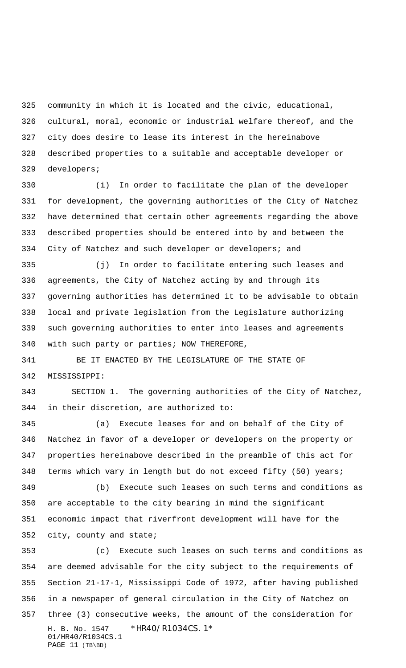community in which it is located and the civic, educational, cultural, moral, economic or industrial welfare thereof, and the city does desire to lease its interest in the hereinabove described properties to a suitable and acceptable developer or developers;

 (i) In order to facilitate the plan of the developer for development, the governing authorities of the City of Natchez have determined that certain other agreements regarding the above described properties should be entered into by and between the City of Natchez and such developer or developers; and

 (j) In order to facilitate entering such leases and agreements, the City of Natchez acting by and through its governing authorities has determined it to be advisable to obtain local and private legislation from the Legislature authorizing such governing authorities to enter into leases and agreements with such party or parties; NOW THEREFORE,

341 BE IT ENACTED BY THE LEGISLATURE OF THE STATE OF MISSISSIPPI:

 SECTION 1. The governing authorities of the City of Natchez, in their discretion, are authorized to:

 (a) Execute leases for and on behalf of the City of Natchez in favor of a developer or developers on the property or properties hereinabove described in the preamble of this act for terms which vary in length but do not exceed fifty (50) years;

 (b) Execute such leases on such terms and conditions as are acceptable to the city bearing in mind the significant economic impact that riverfront development will have for the city, county and state;

H. B. No. 1547 \* HR40/R1034CS. 1\* 01/HR40/R1034CS.1 PAGE 11 (TB\BD) (c) Execute such leases on such terms and conditions as are deemed advisable for the city subject to the requirements of Section 21-17-1, Mississippi Code of 1972, after having published in a newspaper of general circulation in the City of Natchez on three (3) consecutive weeks, the amount of the consideration for